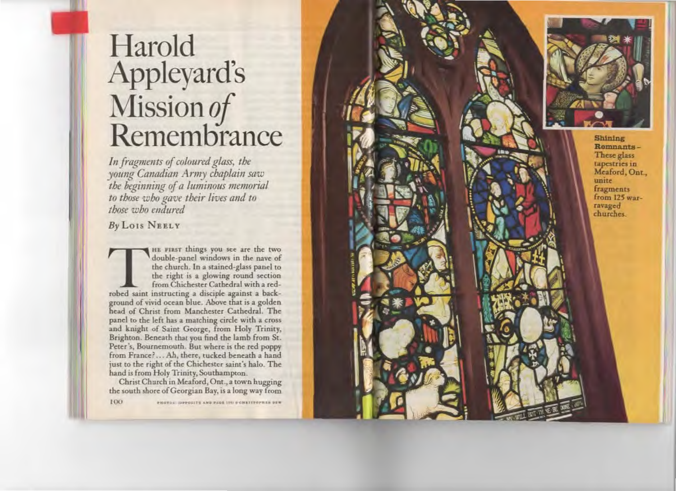# Harold **Appleyard's** Mission of<br>Remembrance

In fragments of coloured glass, the<br>young Canadian Army chaplain saw the beginning of a luminous memorial to those who gave their lives and to those who endured

By LOIS NEELY

HE FIRST things you see are the two double-panel windows in the nave of the church. In a stained-glass panel to the right is a glowing round section from Chichester Cathedral with a redrobed saint instructing a disciple against a background of vivid ocean blue. Above that is a golden head of Christ from Manchester Cathedral. The panel to the left has a matching circle with a cross and knight of Saint George, from Holy Trinity, Brighton. Beneath that you find the lamb from St. Peter's, Bournemouth. But where is the red poppy from France?... Ah, there, tucked beneath a hand just to the right of the Chichester saint's halo. The hand is from Holy Trinity, Southampton.

Christ Church in Meaford, Ont., a town hugging the south shore of Georgian Bay, is a long way from

100

PHOTOS: (OPPOSITE AND PAGE 191) & CHRITTOPHER DEW

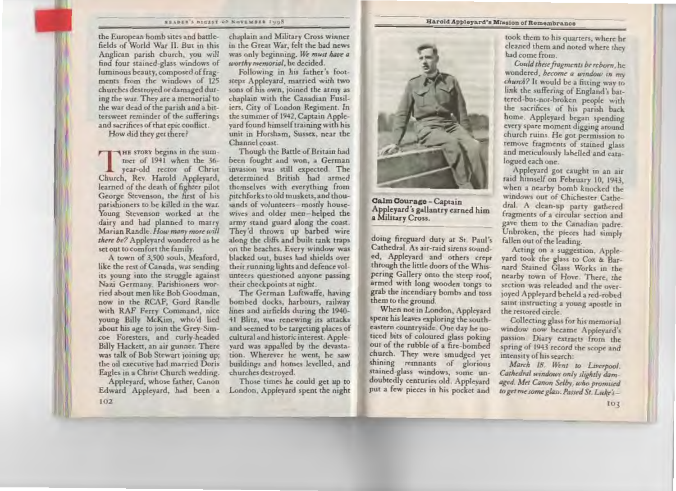#### SEADER'S DIGEST OF NOVEMBER 2008

the European bomb sites and battlefields of World War II. But in this Anglican parish church, you will find four stained-glass windows of luminous beauty, composed of fragments from the windows of 125 churches destroyed or damaged during the war. They are a memorial to the war dead of the parish and a bittersweet reminder of the sufferings and sacrifices of that epic conflict.

How did they get there?

THE STORY begins in the summer of 1941 when the 36year-old rector of Christ Church, Rev. Harold Applevard, learned of the death of fighter pilot George Stevenson, the first of his parishioners to be killed in the war. Young Stevenson worked at the dairy and had planned to marry Marian Randle. How many more will there be? Appleyard wondered as he set out to comfort the family.

A town of 3,500 souls, Meaford, like the rest of Canada, was sending its young into the struggle against Nazi Germany. Parishioners worried about men like Bob Goodman, now in the RCAF. Gord Randle with RAF Ferry Command, nice young Billy McKim, who'd lied about his age to join the Grey-Simcoe Foresters, and curly-headed Billy Hackett, an air gunner. There was talk of Bob Stewart joining up; the oil executive had married Doris Eagles in a Christ Church wedding.

Appleyard, whose father, Canon Edward Appleyard, had been a  $102$ 

chaplain and Military Cross winner in the Great War, felt the bad news was only beginning. We must have a worthy memorial, he decided.

Following in his father's footsteps Appleyard, married with two sons of his own, joined the army as chaplain with the Canadian Fusiliers. City of London Regiment. In the summer of 1942, Captain Appleyard found himself training with his unit in Horsham, Sussex, near the Channel coast.

Though the Battle of Britain had been fought and won, a German invasion was still expected. The determined British had armed themselves with everything from pitchforks to old muskets, and thousands of volunteers-mostly housewives and older men-helped the army stand guard along the coast. They'd thrown up barbed wire along the cliffs and built tank traps on the beaches. Every window was blacked out, buses had shields over their running lights and defence volunteers questioned anyone passing their checkpoints at night.

The German Luftwaffe, having bombed docks, harbours, railway lines and airfields during the 1940-41 Blitz, was renewing its attacks and seemed to be targeting places of cultural and historic interest. Appleyard was appalled by the devastation. Wherever he went, he saw buildings and homes levelled, and churches destroyed.

Those times he could get up to London, Appleyard spent the night



Calm Courage - Captain Appleyard's gallantry earned him a Military Cross.

doing fireguard duty at St. Paul's Cathedral. As air-raid sirens sounded, Appleyard and others crept through the little doors of the Whispering Gallery onto the steep roof. armed with long wooden tongs to grab the incendiary bombs and toss them to the ground.

When not in London, Appleyard spent his leaves exploring the southeastern countryside. One day he noticed bits of coloured glass poking out of the rubble of a fire-bombed church. They were smudged yet shining remnants of glorious stained-glass windows, some undoubtedly centuries old. Applevard put a few pieces in his pocket and

#### Harold Appleyard's Mission of Remembrance

took them to his quarters, where he cleaned them and noted where they had come from.

Could these fragments be reborn, he wondered, become a window in my church? It would be a fitting way to link the suffering of England's battered-but-not-broken people with the sacrifices of his parish back home. Appleyard began spending every spare moment digging around church ruins. He got permission to remove fragments of stained glass and meticulously labelled and catalogued each one.

Appleyard got caught in an air raid himself on February 10, 1943, when a nearby bomb knocked the windows out of Chichester Cathedral. A clean-up party gathered fragments of a circular section and gave them to the Canadian padre. Unbroken, the pieces had simply fallen out of the leading.

Acting on a suggestion, Appleyard took the glass to Cox & Barnard Stained Glass Works in the nearby town of Hove. There, the section was releaded and the overjoyed Appleyard beheld a red-robed saint instructing a young apostle in the restored circle.

Collecting glass for his memorial window now became Appleyard's passion. Diary extracts from the spring of 1943 record the scope and intensity of his search:

March 18. Went to Liverpool. Cathedral windows only slightly damaged. Met Canon Selby, who promised to get me some glass. Passed St. Luke's-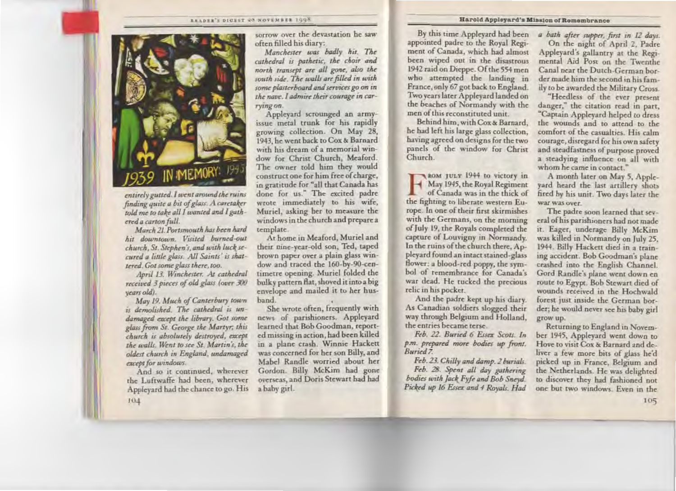#### READER'S DIGEST ON NOVEMBER 1998



entirely gutted. I went around the ruins finding quite a bit of glass. A caretaker told me to take all I wanted and I gathered a carton full.

March 21. Portsmouth has been hard hit downtown. Visited burned-out church, St. Stephen's, and with luck secured a little glass. All Saints' is shattered. Got some glass there, too.

April 13. Winchester. At cathedral received 3 pieces of old glass (over 300 years old).

May 19. Much of Canterbury town is demolished. The cathedral is undamaged except the library. Got some glass from St. George the Martyr, this church is absolutely destroyed, except the walls. Went to see St. Martin's, the oldest church in England, undamaged except for windows.

And so it continued, wherever the Luftwaffe had been, wherever Appleyard had the chance to go. His 104

sorrow over the devastation he saw often filled his diary:

Manchester was badly hit. The cathedral is pathetic, the choir and north transept are all gone, also the south side. The walls are filled in with some plasterboard and services go on in the nave. I admire their courage in carrving on.

Applevard scrounged an armyissue metal trunk for his rapidly growing collection. On May 28, 1943, he went back to Cox & Barnard with his dream of a memorial window for Christ Church, Meaford. The owner told him they would construct one for him free of charge, in gratitude for "all that Canada has done for us." The excited padre wrote immediately to his wife, Muriel, asking her to measure the windows in the church and prepare a template.

At home in Meaford, Muriel and their nine-year-old son, Ted, taped brown paper over a plain glass window and traced the 160-by-90-centimetre opening. Muriel folded the bulky pattern flat, shoved it into a big envelope and mailed it to her hushand.

She wrote often, frequently with news of parishioners. Appleyard learned that Bob Goodman, reported missing in action, had been killed in a plane crash. Winnie Hackett was concerned for her son Billy, and Mabel Randle worried about her Gordon. Billy McKim had gone overseas, and Doris Stewart had had a baby girl.

By this time Appleyard had been appointed padre to the Royal Regiment of Canada, which had almost been wiped out in the disastrous 1942 raid on Dieppe. Of the 554 men who attempted the landing in France, only 67 got back to England. Two years later Appleyard landed on the beaches of Normandy with the men of this reconstituted unit.

Behind him, with Cox & Barnard. he had left his large glass collection. having agreed on designs for the two panels of the window for Christ Church

aom july 1944 to victory in May 1945, the Royal Regiment of Canada was in the thick of the fighting to liberate western Europe. In one of their first skirmishes with the Germans, on the morning of July 19, the Royals completed the capture of Louvigny in Normandy. In the ruins of the church there, Appleyard found an intact stained-glass flower: a blood-red poppy, the symbol of remembrance for Canada's war dead. He tucked the precious relic in his pocket.

And the padre kept up his diary. As Canadian soldiers slogged their way through Belgium and Holland, the entries became terse.

Feb. 22. Buried 6 Essex Scots. In p.m. prepared more bodies up front. Buried 7.

Feb. 23. Chilly and damp. 2 burials. Feb. 28. Spent all day gathering bodies with Jack Fyfe and Bob Sneyd. Picked up 16 Essex and 4 Royals. Had

a bath after supper, first in 12 days. On the night of April 2, Padre Appleyard's gallantry at the Regimental Aid Post on the Twenthe Canal near the Dutch-German border made him the second in his family to be awarded the Military Cross.

"Heedless of the ever present danger," the citation read in part, "Captain Appleyard helped to dress the wounds and to attend to the comfort of the casualties. His calm courage, disregard for his own safety and steadfastness of purpose proved a steadying influence on all with whom he came in contact."

A month later on May 5, Appleyard heard the last artillery shots fired by his unit. Two days later the war was over.

The padre soon learned that several of his parishioners had not made it. Eager, underage Billy McKim was killed in Normandy on July 25. 1944. Billy Hackett died in a training accident. Bob Goodman's plane. crashed into the English Channel. Gord Randle's plane went down en route to Egypt. Bob Stewart died of wounds received in the Hochwald forest just inside the German border; he would never see his baby girl grow up.

Returning to England in November 1945, Appleyard went down to Hove to visit Cox & Barnard and deliver a few more bits of glass he'd picked up in France, Belgium and the Netherlands. He was delighted to discover they had fashioned not one but two windows. Even in the 105